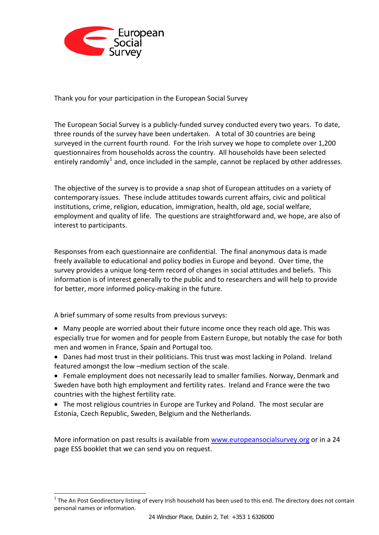

Thank you for your participation in the European Social Survey

The European Social Survey is a publicly‐funded survey conducted every two years. To date, three rounds of the survey have been undertaken. A total of 30 countries are being surveyed in the current fourth round. For the Irish survey we hope to complete over 1,200 questionnaires from households across the country. All households have been selected entirely randomly<sup>[1](#page-0-0)</sup> and, once included in the sample, cannot be replaced by other addresses.

The objective of the survey is to provide a snap shot of European attitudes on a variety of contemporary issues. These include attitudes towards current affairs, civic and political institutions, crime, religion, education, immigration, health, old age, social welfare, employment and quality of life. The questions are straightforward and, we hope, are also of interest to participants.

Responses from each questionnaire are confidential. The final anonymous data is made freely available to educational and policy bodies in Europe and beyond. Over time, the survey provides a unique long-term record of changes in social attitudes and beliefs. This information is of interest generally to the public and to researchers and will help to provide for better, more informed policy-making in the future.

A brief summary of some results from previous surveys:

-

- Many people are worried about their future income once they reach old age. This was especially true for women and for people from Eastern Europe, but notably the case for both men and women in France, Spain and Portugal too.
- Danes had most trust in their politicians. This trust was most lacking in Poland. Ireland featured amongst the low –medium section of the scale.
- Female employment does not necessarily lead to smaller families. Norway, Denmark and Sweden have both high employment and fertility rates. Ireland and France were the two countries with the highest fertility rate.
- The most religious countries in Europe are Turkey and Poland. The most secular are Estonia, Czech Republic, Sweden, Belgium and the Netherlands.

More information on past results is available from [www.europeansocialsurvey.org](http://www.europeansocialsurvey.org/) or in a 24 page ESS booklet that we can send you on request.

<span id="page-0-0"></span> $1$  The An Post Geodirectory listing of every Irish household has been used to this end. The directory does not contain personal names or information.